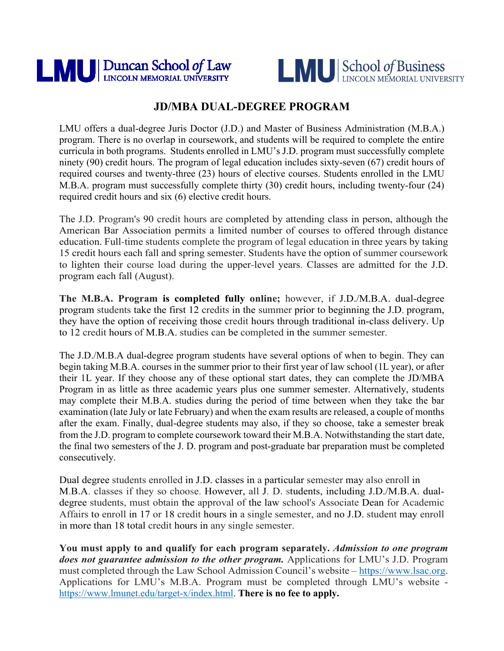



# **JD/MBA DUAL-DEGREE PROGRAM**

LMU offers a dual-degree Juris Doctor (J.D.) and Master of Business Administration (M.B.A.) program. There is no overlap in coursework, and students will be required to complete the entire curricula in both programs. Students enrolled in LMU's J.D. program must successfully complete ninety (90) credit hours. The program of legal education includes sixty-seven (67) credit hours of required courses and twenty-three (23) hours of elective courses. Students enrolled in the LMU M.B.A. program must successfully complete thirty (30) credit hours, including twenty-four (24) required credit hours and six (6) elective credit hours.

The J.D. Program's 90 credit hours are completed by attending class in person, although the American Bar Association permits a limited number of courses to offered through distance education. Full-time students complete the program of legal education in three years by taking 15 credit hours each fall and spring semester. Students have the option of summer coursework to lighten their course load during the upper-level years. Classes are admitted for the J.D. program each fall (August).

**The M.B.A. Program is completed fully online;** however, if J.D./M.B.A. dual-degree program students take the first 12 credits in the summer prior to beginning the J.D. program, they have the option of receiving those credit hours through traditional in-class delivery. Up to 12 credit hours of M.B.A. studies can be completed in the summer semester.

The J.D./M.B.A dual-degree program students have several options of when to begin. They can begin taking M.B.A. courses in the summer prior to their first year of law school (1L year), or after their 1L year. If they choose any of these optional start dates, they can complete the JD/MBA Program in as little as three academic years plus one summer semester. Alternatively, students may complete their M.B.A. studies during the period of time between when they take the bar examination (late July or late February) and when the exam results are released, a couple of months after the exam. Finally, dual-degree students may also, if they so choose, take a semester break from the J.D. program to complete coursework toward their M.B.A. Notwithstanding the start date, the final two semesters of the J. D. program and post-graduate bar preparation must be completed consecutively.

Dual degree students enrolled in J.D. classes in a particular semester may also enroll in M.B.A. classes if they so choose. However, all J. D. students, including J.D./M.B.A. dualdegree students, must obtain the approval of the law school's Associate Dean for Academic Affairs to enroll in 17 or 18 credit hours in a single semester, and no J.D. student may enroll in more than 18 total credit hours in any single semester.

**You must apply to and qualify for each program separately.** *Admission to one program does not guarantee admission to the other program.* Applications for LMU's J.D. Program must completed through the Law School Admission Council's website – [https://www.lsac.org.](https://www.lsac.org/) Applications for LMU's M.B.A. Program must be completed through LMU's website [https://www.lmunet.edu/target-x/index.html.](https://www.lmunet.edu/target-x/index.html) **There is no fee to apply.**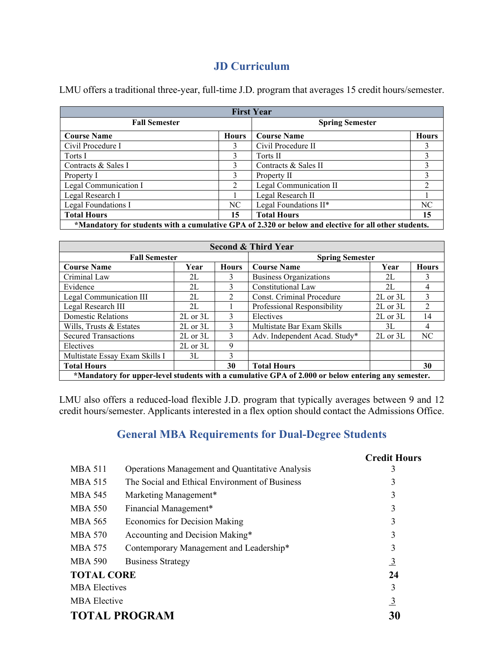## **JD Curriculum**

LMU offers a traditional three-year, full-time J.D. program that averages 15 credit hours/semester.

| <b>First Year</b>                                                                                    |                             |                        |                |
|------------------------------------------------------------------------------------------------------|-----------------------------|------------------------|----------------|
| <b>Fall Semester</b>                                                                                 |                             | <b>Spring Semester</b> |                |
| <b>Course Name</b>                                                                                   | <b>Hours</b>                | <b>Course Name</b>     | <b>Hours</b>   |
| Civil Procedure I                                                                                    | 3                           | Civil Procedure II     | 3              |
| Torts I                                                                                              | 3                           | Torts II               | 3              |
| Contracts & Sales I                                                                                  | 3                           | Contracts & Sales II   | 3              |
| Property I                                                                                           | 3                           | Property II            | 3              |
| Legal Communication I                                                                                | $\mathcal{D}_{\mathcal{L}}$ | Legal Communication II | $\mathfrak{D}$ |
| Legal Research I                                                                                     |                             | Legal Research II      |                |
| Legal Foundations I                                                                                  | NC                          | Legal Foundations II*  | NC.            |
| <b>Total Hours</b>                                                                                   | 15                          | <b>Total Hours</b>     | 15             |
| *Mandatory for students with a cumulative GPA of 2.320 or below and elective for all other students. |                             |                        |                |

| <b>Second &amp; Third Year</b>                                                                     |              |                        |                               |              |                |
|----------------------------------------------------------------------------------------------------|--------------|------------------------|-------------------------------|--------------|----------------|
| <b>Fall Semester</b>                                                                               |              | <b>Spring Semester</b> |                               |              |                |
| <b>Course Name</b>                                                                                 | Year         | <b>Hours</b>           | <b>Course Name</b>            | Year         | <b>Hours</b>   |
| Criminal Law                                                                                       | 2L           | 3                      | <b>Business Organizations</b> | 2L           | 3              |
| Evidence                                                                                           | 2L           | 3                      | Constitutional Law            | 2L           | 4              |
| Legal Communication III                                                                            | 2L           | $\mathfrak{D}$         | Const. Criminal Procedure     | 2L or 3L     | 3              |
| Legal Research III                                                                                 | 2L           |                        | Professional Responsibility   | $2L$ or $3L$ | $\mathfrak{D}$ |
| <b>Domestic Relations</b>                                                                          | $2L$ or $3L$ | 3                      | Electives                     | $2L$ or $3L$ | 14             |
| Wills, Trusts & Estates                                                                            | $2L$ or $3L$ | 3                      | Multistate Bar Exam Skills    | 3L           | 4              |
| <b>Secured Transactions</b>                                                                        | $2L$ or $3L$ | 3                      | Adv. Independent Acad. Study* | $2L$ or $3L$ | NC             |
| Electives                                                                                          | $2L$ or $3L$ | 9                      |                               |              |                |
| Multistate Essay Exam Skills I                                                                     | 3L           | 3                      |                               |              |                |
| <b>Total Hours</b>                                                                                 |              | 30                     | <b>Total Hours</b>            |              | 30             |
| *Mandatory for upper-level students with a cumulative GPA of 2.000 or below entering any semester. |              |                        |                               |              |                |

LMU also offers a reduced-load flexible J.D. program that typically averages between 9 and 12 credit hours/semester. Applicants interested in a flex option should contact the Admissions Office.

### **General MBA Requirements for Dual-Degree Students**

|                      |                                                        | <b>Credit Hours</b> |
|----------------------|--------------------------------------------------------|---------------------|
| <b>MBA 511</b>       | <b>Operations Management and Quantitative Analysis</b> | 3                   |
| <b>MBA 515</b>       | The Social and Ethical Environment of Business         | 3                   |
| <b>MBA 545</b>       | Marketing Management*                                  | 3                   |
| <b>MBA 550</b>       | Financial Management*                                  | 3                   |
| MBA 565              | <b>Economics for Decision Making</b>                   | 3                   |
| <b>MBA 570</b>       | Accounting and Decision Making*                        | 3                   |
| MBA 575              | Contemporary Management and Leadership*                | 3                   |
| <b>MBA 590</b>       | <b>Business Strategy</b>                               | $\overline{3}$      |
| <b>TOTAL CORE</b>    |                                                        | 24                  |
| <b>MBA</b> Electives |                                                        | 3                   |
| <b>MBA Elective</b>  |                                                        | $\overline{3}$      |
|                      | <b>TOTAL PROGRAM</b>                                   | 30                  |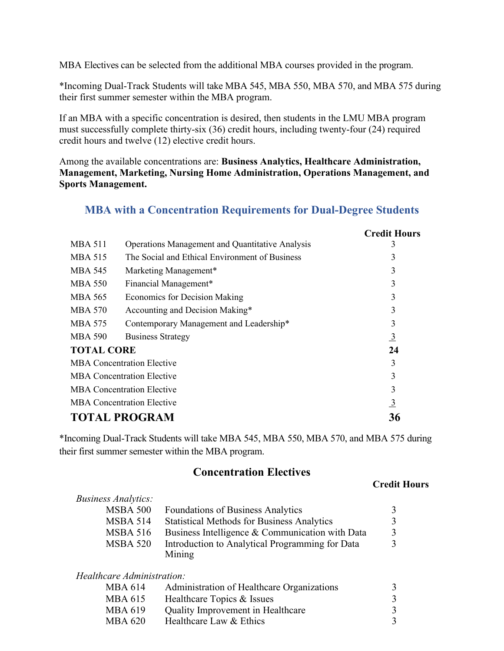MBA Electives can be selected from the additional MBA courses provided in the program.

\*Incoming Dual-Track Students will take MBA 545, MBA 550, MBA 570, and MBA 575 during their first summer semester within the MBA program.

If an MBA with a specific concentration is desired, then students in the LMU MBA program must successfully complete thirty-six (36) credit hours, including twenty-four (24) required credit hours and twelve (12) elective credit hours.

Among the available concentrations are: **Business Analytics, Healthcare Administration, Management, Marketing, Nursing Home Administration, Operations Management, and Sports Management.**

### **MBA with a Concentration Requirements for Dual-Degree Students**

|                                   |                                                        | <b>Credit Hours</b> |
|-----------------------------------|--------------------------------------------------------|---------------------|
| <b>MBA 511</b>                    | <b>Operations Management and Quantitative Analysis</b> | 3                   |
| <b>MBA 515</b>                    | The Social and Ethical Environment of Business         | 3                   |
| <b>MBA 545</b>                    | Marketing Management*                                  | 3                   |
| <b>MBA 550</b>                    | Financial Management*                                  | 3                   |
| MBA 565                           | <b>Economics for Decision Making</b>                   | 3                   |
| MBA 570                           | Accounting and Decision Making*                        | 3                   |
| MBA 575                           | Contemporary Management and Leadership*                | 3                   |
| <b>MBA 590</b>                    | <b>Business Strategy</b>                               | $\frac{3}{2}$       |
| <b>TOTAL CORE</b>                 |                                                        | 24                  |
| <b>MBA</b> Concentration Elective |                                                        | 3                   |
| <b>MBA Concentration Elective</b> |                                                        | 3                   |
| <b>MBA Concentration Elective</b> |                                                        | 3                   |
|                                   | <b>MBA Concentration Elective</b>                      | $\frac{3}{2}$       |
|                                   | <b>TOTAL PROGRAM</b>                                   | 36                  |

\*Incoming Dual-Track Students will take MBA 545, MBA 550, MBA 570, and MBA 575 during their first summer semester within the MBA program.

## **Concentration Electives**

#### **Credit Hours**

| <i>Business Analytics:</i> |                                                   |  |
|----------------------------|---------------------------------------------------|--|
| <b>MSBA 500</b>            | <b>Foundations of Business Analytics</b>          |  |
| <b>MSBA 514</b>            | <b>Statistical Methods for Business Analytics</b> |  |
| <b>MSBA 516</b>            | Business Intelligence & Communication with Data   |  |
| <b>MSBA 520</b>            | Introduction to Analytical Programming for Data   |  |
|                            | Mining                                            |  |
| Healthcare Administration: |                                                   |  |
| <b>MBA 614</b>             | Administration of Healthcare Organizations        |  |
| <b>MBA 615</b>             | Healthcare Topics & Issues                        |  |
| MBA 619                    | Quality Improvement in Healthcare                 |  |
| MBA 620                    | Healthcare Law & Ethics                           |  |